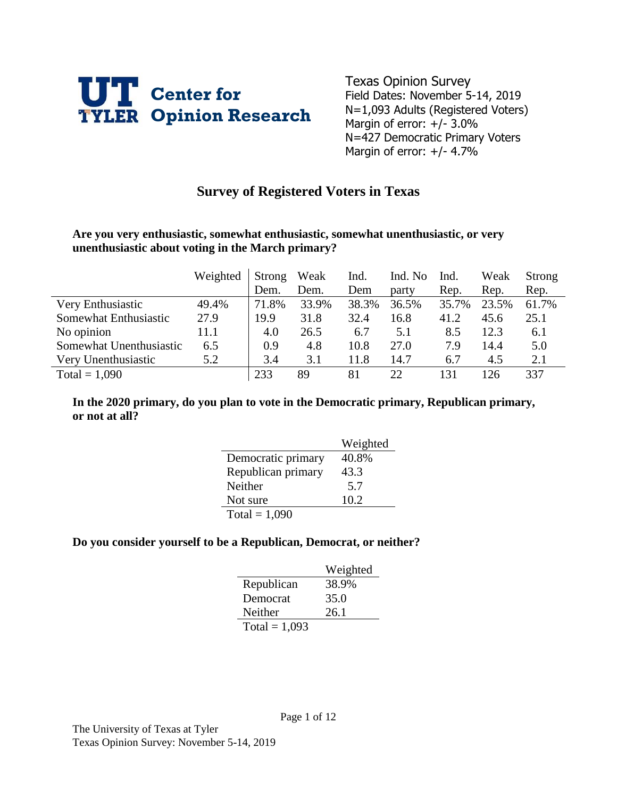

Texas Opinion Survey Field Dates: November 5-14, 2019 N=1,093 Adults (Registered Voters) Margin of error: +/- 3.0% N=427 Democratic Primary Voters Margin of error:  $+/- 4.7\%$ 

## **Survey of Registered Voters in Texas**

#### **Are you very enthusiastic, somewhat enthusiastic, somewhat unenthusiastic, or very unenthusiastic about voting in the March primary?**

|                         | Weighted | Strong | Weak  | Ind.  | Ind. No | Ind.  | Weak  | Strong |
|-------------------------|----------|--------|-------|-------|---------|-------|-------|--------|
|                         |          | Dem.   | Dem.  | Dem   | party   | Rep.  | Rep.  | Rep.   |
| Very Enthusiastic       | 49.4%    | 71.8%  | 33.9% | 38.3% | 36.5%   | 35.7% | 23.5% | 61.7%  |
| Somewhat Enthusiastic   | 27.9     | 19.9   | 31.8  | 32.4  | 16.8    | 41.2  | 45.6  | 25.1   |
| No opinion              | 11.1     | 4.0    | 26.5  | 6.7   | 5.1     | 8.5   | 12.3  | 6.1    |
| Somewhat Unenthusiastic | 6.5      | 0.9    | 4.8   | 10.8  | 27.0    | 7.9   | 14.4  | 5.0    |
| Very Unenthusiastic     | 5.2      | 3.4    | 3.1   | 11.8  | 14.7    | 6.7   | 4.5   | 2.1    |
| Total = $1,090$         |          | 233    | 89    | 81    | 22      | 131   | 126   | 337    |

### **In the 2020 primary, do you plan to vote in the Democratic primary, Republican primary, or not at all?**

|                    | Weighted |
|--------------------|----------|
| Democratic primary | 40.8%    |
| Republican primary | 43.3     |
| Neither            | 5.7      |
| Not sure           | 10.2     |
| Total = $1,090$    |          |

#### **Do you consider yourself to be a Republican, Democrat, or neither?**

|                 | Weighted |
|-----------------|----------|
| Republican      | 38.9%    |
| Democrat        | 35.0     |
| Neither         | 26.1     |
| Total = $1,093$ |          |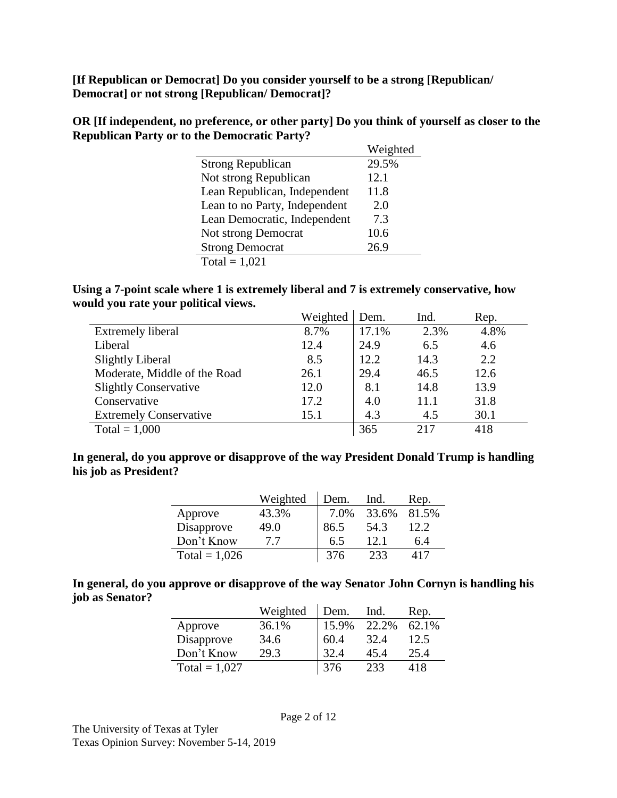**[If Republican or Democrat] Do you consider yourself to be a strong [Republican/ Democrat] or not strong [Republican/ Democrat]?**

**OR [If independent, no preference, or other party] Do you think of yourself as closer to the Republican Party or to the Democratic Party?**

|                               | Weighted |
|-------------------------------|----------|
| <b>Strong Republican</b>      | 29.5%    |
| Not strong Republican         | 12.1     |
| Lean Republican, Independent  | 11.8     |
| Lean to no Party, Independent | 2.0      |
| Lean Democratic, Independent  | 7.3      |
| <b>Not strong Democrat</b>    | 10.6     |
| <b>Strong Democrat</b>        | 26.9     |
| Total = $1,021$               |          |

#### **Using a 7-point scale where 1 is extremely liberal and 7 is extremely conservative, how would you rate your political views.**

|                               | Weighted | Dem.  | Ind. | Rep. |
|-------------------------------|----------|-------|------|------|
| <b>Extremely liberal</b>      | 8.7%     | 17.1% | 2.3% | 4.8% |
| Liberal                       | 12.4     | 24.9  | 6.5  | 4.6  |
| <b>Slightly Liberal</b>       | 8.5      | 12.2  | 14.3 | 2.2  |
| Moderate, Middle of the Road  | 26.1     | 29.4  | 46.5 | 12.6 |
| <b>Slightly Conservative</b>  | 12.0     | 8.1   | 14.8 | 13.9 |
| Conservative                  | 17.2     | 4.0   | 11.1 | 31.8 |
| <b>Extremely Conservative</b> | 15.1     | 4.3   | 4.5  | 30.1 |
| Total = $1,000$               |          | 365   | 217  | 418  |

### **In general, do you approve or disapprove of the way President Donald Trump is handling his job as President?**

|                 | Weighted | Dem. | Ind.  | Rep.  |
|-----------------|----------|------|-------|-------|
| Approve         | 43.3%    | 7.0% | 33.6% | 81.5% |
| Disapprove      | 49.0     | 86.5 | 54.3  | 12.2  |
| Don't Know      | 77       | 6.5  | 12.1  | 6.4   |
| Total = $1,026$ |          | 376  | 233   | 417   |

**In general, do you approve or disapprove of the way Senator John Cornyn is handling his job as Senator?**

|                 | Weighted | Dem.  | Ind.  | Rep.  |
|-----------------|----------|-------|-------|-------|
| Approve         | 36.1%    | 15.9% | 22.2% | 62.1% |
| Disapprove      | 34.6     | 60.4  | 32.4  | 12.5  |
| Don't Know      | 29.3     | 32.4  | 45.4  | 25.4  |
| Total = $1,027$ |          | 376   | 233   | 418   |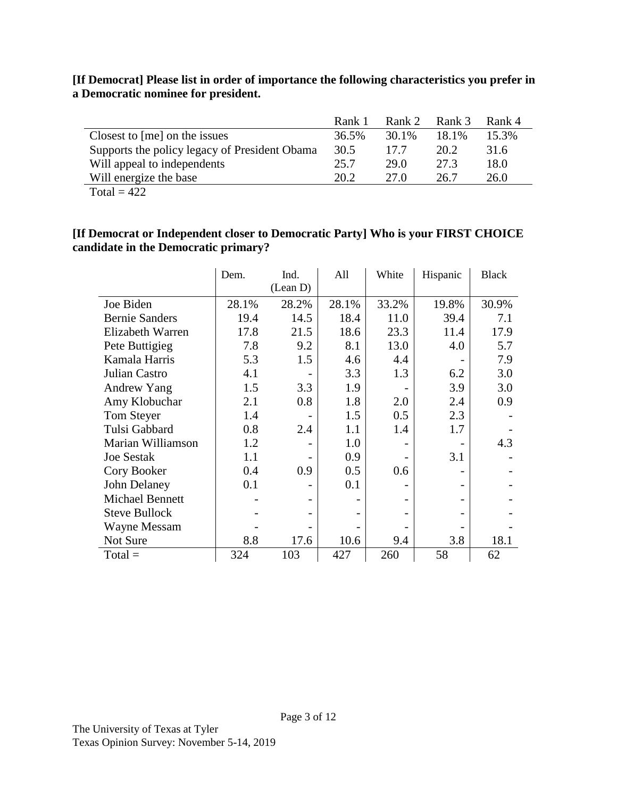|                                               | Rank 1 | Rank 2 | Rank 3 | Rank 4 |
|-----------------------------------------------|--------|--------|--------|--------|
| Closest to [me] on the issues                 | 36.5%  | 30.1%  | 18.1%  | 15.3%  |
| Supports the policy legacy of President Obama | 30.5   | 17.7   | 20.2   | 31.6   |
| Will appeal to independents                   | 25.7   | 29.0   | 27.3   | 18.0   |
| Will energize the base                        | 20.2   | 27 Q   | 26.7   | 26.0   |

**[If Democrat] Please list in order of importance the following characteristics you prefer in a Democratic nominee for president.**

#### Total =  $422$

### **[If Democrat or Independent closer to Democratic Party] Who is your FIRST CHOICE candidate in the Democratic primary?**

|                        | Dem.  | Ind.     | All   | White | Hispanic | <b>Black</b> |
|------------------------|-------|----------|-------|-------|----------|--------------|
|                        |       | (Lean D) |       |       |          |              |
| Joe Biden              | 28.1% | 28.2%    | 28.1% | 33.2% | 19.8%    | 30.9%        |
| <b>Bernie Sanders</b>  | 19.4  | 14.5     | 18.4  | 11.0  | 39.4     | 7.1          |
| Elizabeth Warren       | 17.8  | 21.5     | 18.6  | 23.3  | 11.4     | 17.9         |
| Pete Buttigieg         | 7.8   | 9.2      | 8.1   | 13.0  | 4.0      | 5.7          |
| Kamala Harris          | 5.3   | 1.5      | 4.6   | 4.4   |          | 7.9          |
| Julian Castro          | 4.1   |          | 3.3   | 1.3   | 6.2      | 3.0          |
| <b>Andrew Yang</b>     | 1.5   | 3.3      | 1.9   |       | 3.9      | 3.0          |
| Amy Klobuchar          | 2.1   | 0.8      | 1.8   | 2.0   | 2.4      | 0.9          |
| Tom Steyer             | 1.4   |          | 1.5   | 0.5   | 2.3      |              |
| Tulsi Gabbard          | 0.8   | 2.4      | 1.1   | 1.4   | 1.7      |              |
| Marian Williamson      | 1.2   |          | 1.0   |       |          | 4.3          |
| <b>Joe Sestak</b>      | 1.1   |          | 0.9   |       | 3.1      |              |
| Cory Booker            | 0.4   | 0.9      | 0.5   | 0.6   |          |              |
| John Delaney           | 0.1   |          | 0.1   |       |          |              |
| <b>Michael Bennett</b> |       |          |       |       |          |              |
| <b>Steve Bullock</b>   |       |          |       |       |          |              |
| <b>Wayne Messam</b>    |       |          |       |       |          |              |
| Not Sure               | 8.8   | 17.6     | 10.6  | 9.4   | 3.8      | 18.1         |
| $Total =$              | 324   | 103      | 427   | 260   | 58       | 62           |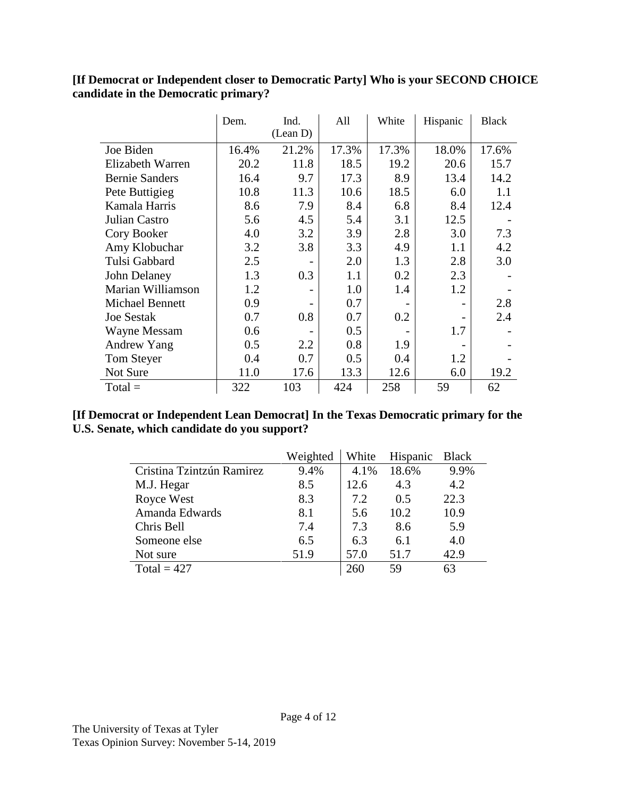### **[If Democrat or Independent closer to Democratic Party] Who is your SECOND CHOICE candidate in the Democratic primary?**

|                       | Dem.  | Ind.<br>(Lean D) | All   | White | Hispanic | <b>Black</b> |
|-----------------------|-------|------------------|-------|-------|----------|--------------|
| Joe Biden             | 16.4% | 21.2%            | 17.3% | 17.3% | 18.0%    | 17.6%        |
| Elizabeth Warren      | 20.2  | 11.8             | 18.5  | 19.2  | 20.6     | 15.7         |
| <b>Bernie Sanders</b> | 16.4  | 9.7              | 17.3  | 8.9   | 13.4     | 14.2         |
| Pete Buttigieg        | 10.8  | 11.3             | 10.6  | 18.5  | 6.0      | 1.1          |
| Kamala Harris         | 8.6   | 7.9              | 8.4   | 6.8   | 8.4      | 12.4         |
| Julian Castro         | 5.6   | 4.5              | 5.4   | 3.1   | 12.5     |              |
| Cory Booker           | 4.0   | 3.2              | 3.9   | 2.8   | 3.0      | 7.3          |
| Amy Klobuchar         | 3.2   | 3.8              | 3.3   | 4.9   | 1.1      | 4.2          |
| Tulsi Gabbard         | 2.5   |                  | 2.0   | 1.3   | 2.8      | 3.0          |
| John Delaney          | 1.3   | 0.3              | 1.1   | 0.2   | 2.3      |              |
| Marian Williamson     | 1.2   |                  | 1.0   | 1.4   | 1.2      |              |
| Michael Bennett       | 0.9   |                  | 0.7   |       |          | 2.8          |
| <b>Joe Sestak</b>     | 0.7   | 0.8              | 0.7   | 0.2   |          | 2.4          |
| <b>Wayne Messam</b>   | 0.6   |                  | 0.5   |       | 1.7      |              |
| Andrew Yang           | 0.5   | 2.2              | 0.8   | 1.9   |          |              |
| Tom Steyer            | 0.4   | 0.7              | 0.5   | 0.4   | 1.2      |              |
| Not Sure              | 11.0  | 17.6             | 13.3  | 12.6  | 6.0      | 19.2         |
| $Total =$             | 322   | 103              | 424   | 258   | 59       | 62           |

### **[If Democrat or Independent Lean Democrat] In the Texas Democratic primary for the U.S. Senate, which candidate do you support?**

|                           | Weighted | White | Hispanic | <b>Black</b> |
|---------------------------|----------|-------|----------|--------------|
| Cristina Tzintzún Ramirez | 9.4%     | 4.1%  | 18.6%    | 9.9%         |
| M.J. Hegar                | 8.5      | 12.6  | 4.3      | 4.2          |
| Royce West                | 8.3      | 7.2   | 0.5      | 22.3         |
| Amanda Edwards            | 8.1      | 5.6   | 10.2     | 10.9         |
| Chris Bell                | 7.4      | 7.3   | 8.6      | 5.9          |
| Someone else              | 6.5      | 6.3   | 6.1      | 4.0          |
| Not sure                  | 51.9     | 57.0  | 51.7     | 42.9         |
| Total = $427$             |          | 260   | 59       |              |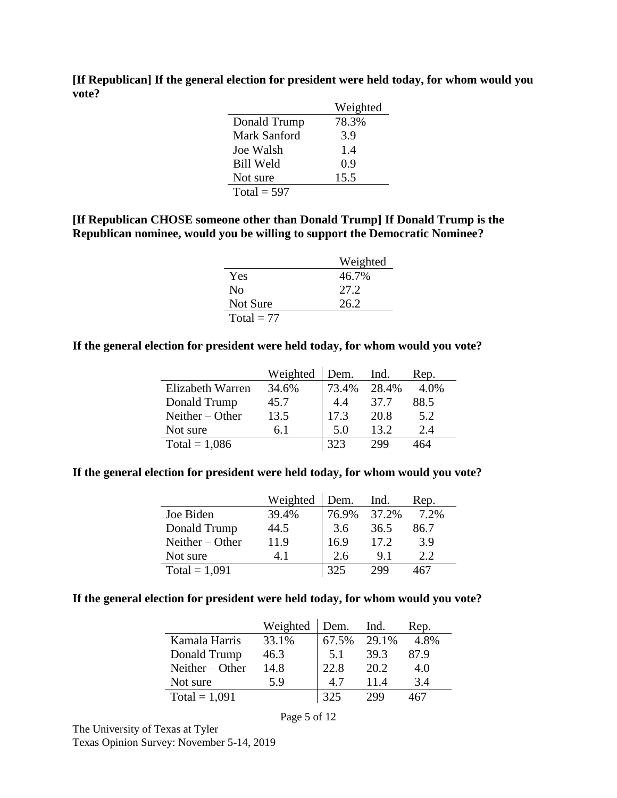|                  | Weighted |
|------------------|----------|
| Donald Trump     | 78.3%    |
| Mark Sanford     | 3.9      |
| Joe Walsh        | 14       |
| <b>Bill Weld</b> | 0.9      |
| Not sure         | 15.5     |
| Total = $597$    |          |

**[If Republican] If the general election for president were held today, for whom would you vote?**

#### **[If Republican CHOSE someone other than Donald Trump] If Donald Trump is the Republican nominee, would you be willing to support the Democratic Nominee?**

|              | Weighted |
|--------------|----------|
| Yes          | 46.7%    |
| No           | 27.2     |
| Not Sure     | 26.2     |
| Total $= 77$ |          |

#### **If the general election for president were held today, for whom would you vote?**

|                   | Weighted | Dem.  | Ind.  | Rep. |
|-------------------|----------|-------|-------|------|
| Elizabeth Warren  | 34.6%    | 73.4% | 28.4% | 4.0% |
| Donald Trump      | 45.7     | 4.4   | 37.7  | 88.5 |
| Neither $-$ Other | 13.5     | 17.3  | 20.8  | 5.2  |
| Not sure          | 6 I      | 5.0   | 13.2  | 2.4  |
| Total = $1,086$   |          | 323   | 299   | 464  |

#### **If the general election for president were held today, for whom would you vote?**

|                   | Weighted | Dem.  | Ind.  | Rep. |
|-------------------|----------|-------|-------|------|
| Joe Biden         | 39.4%    | 76.9% | 37.2% | 7.2% |
| Donald Trump      | 44.5     | 3.6   | 36.5  | 86.7 |
| Neither $-$ Other | 11.9     | 16.9  | 17.2  | 3.9  |
| Not sure          | 4 I      | 2.6   | 91    | 22   |
| Total = $1,091$   |          | 325   | 299   |      |

#### **If the general election for president were held today, for whom would you vote?**

|                   | Weighted | Dem.  | Ind.  | Rep. |
|-------------------|----------|-------|-------|------|
| Kamala Harris     | 33.1%    | 67.5% | 29.1% | 4.8% |
| Donald Trump      | 46.3     | 5.1   | 39.3  | 87.9 |
| Neither $-$ Other | 14.8     | 22.8  | 20.2  | 4.0  |
| Not sure          | 5.9      | 47    | 11.4  | 3.4  |
| Total = $1,091$   |          | 325   | 200   |      |

Page 5 of 12

The University of Texas at Tyler Texas Opinion Survey: November 5-14, 2019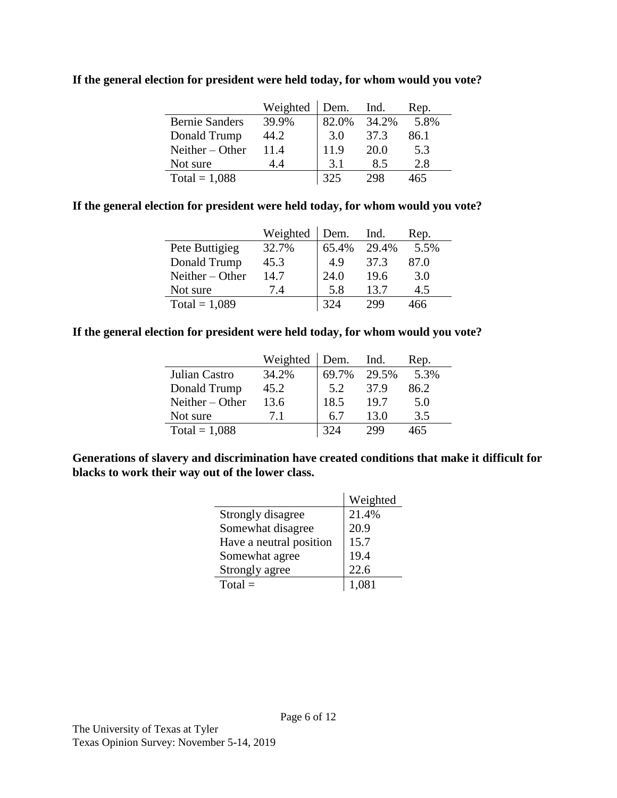|                       | Weighted | Dem.  | Ind.  | Rep. |
|-----------------------|----------|-------|-------|------|
| <b>Bernie Sanders</b> | 39.9%    | 82.0% | 34.2% | 5.8% |
| Donald Trump          | 44.2     | 3.0   | 37.3  | 86.1 |
| Neither – Other       | 11.4     | 11.9  | 20.0  | 5.3  |
| Not sure              | 14       | 3.1   | 8.5   | 2.8  |
| Total = $1,088$       |          | 325   | 298   | 465  |

**If the general election for president were held today, for whom would you vote?**

#### **If the general election for president were held today, for whom would you vote?**

|                   | Weighted | Dem.  | Ind.  | Rep. |
|-------------------|----------|-------|-------|------|
| Pete Buttigieg    | 32.7%    | 65.4% | 29.4% | 5.5% |
| Donald Trump      | 45.3     | 4.9   | 37.3  | 87.0 |
| Neither $-$ Other | 14.7     | 24.0  | 19.6  | 3.0  |
| Not sure          | 74       | 5.8   | 13.7  | 4.5  |
| Total = $1,089$   |          | 324   | 299   | 466  |

### **If the general election for president were held today, for whom would you vote?**

|                 | Weighted | Dem.  | Ind.  | Rep. |
|-----------------|----------|-------|-------|------|
| Julian Castro   | 34.2%    | 69.7% | 29.5% | 5.3% |
| Donald Trump    | 45.2     | 5.2   | 37.9  | 86.2 |
| Neither – Other | 13.6     | 18.5  | 19.7  | 5.0  |
| Not sure        | 7.1      | 6.7   | 13.0  | 3.5  |
| Total = $1,088$ |          | 324   | 299   | 465  |

**Generations of slavery and discrimination have created conditions that make it difficult for blacks to work their way out of the lower class.**

|                         | Weighted |
|-------------------------|----------|
| Strongly disagree       | 21.4%    |
| Somewhat disagree       | 20.9     |
| Have a neutral position | 15.7     |
| Somewhat agree          | 19.4     |
| Strongly agree          | 22.6     |
| $Total =$               | 1.081    |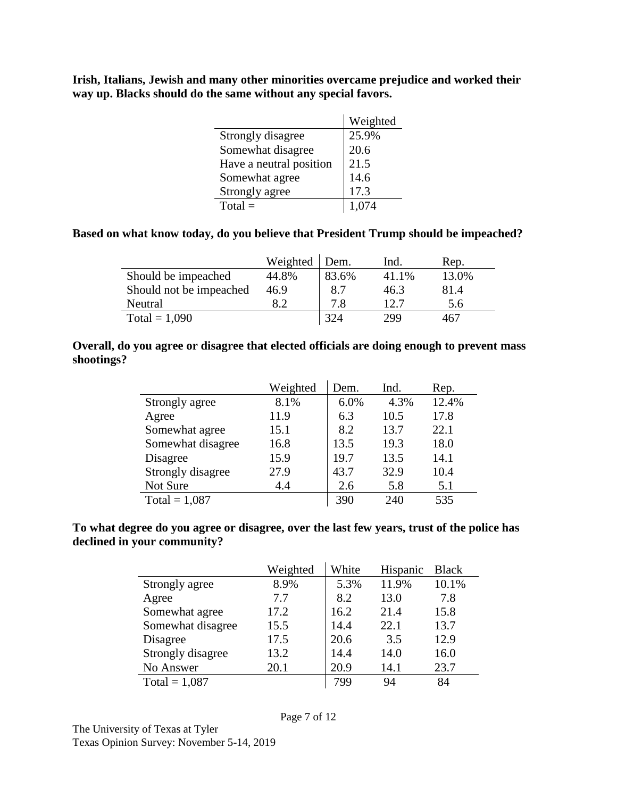**Irish, Italians, Jewish and many other minorities overcame prejudice and worked their way up. Blacks should do the same without any special favors.**

|                         | Weighted |
|-------------------------|----------|
| Strongly disagree       | 25.9%    |
| Somewhat disagree       | 20.6     |
| Have a neutral position | 21.5     |
| Somewhat agree          | 14.6     |
| Strongly agree          | 17.3     |
| $Total =$               |          |

### **Based on what know today, do you believe that President Trump should be impeached?**

|                         | Weighted | Dem.  | Ind.  | Rep.  |
|-------------------------|----------|-------|-------|-------|
| Should be impeached     | 44.8%    | 83.6% | 41.1% | 13.0% |
| Should not be impeached | 46.9     | 8.7   | 46.3  | 81.4  |
| Neutral                 | 8.2      | 7.8   | 12.7  | 5.6   |
| Total = $1,090$         |          | 324   | 299   | 467   |

#### **Overall, do you agree or disagree that elected officials are doing enough to prevent mass shootings?**

|                   | Weighted | Dem. | Ind. | Rep.  |
|-------------------|----------|------|------|-------|
| Strongly agree    | 8.1%     | 6.0% | 4.3% | 12.4% |
| Agree             | 11.9     | 6.3  | 10.5 | 17.8  |
| Somewhat agree    | 15.1     | 8.2  | 13.7 | 22.1  |
| Somewhat disagree | 16.8     | 13.5 | 19.3 | 18.0  |
| Disagree          | 15.9     | 19.7 | 13.5 | 14.1  |
| Strongly disagree | 27.9     | 43.7 | 32.9 | 10.4  |
| Not Sure          | 4.4      | 2.6  | 5.8  | 5.1   |
| Total = $1,087$   |          | 390  | 240  | 535   |

### **To what degree do you agree or disagree, over the last few years, trust of the police has declined in your community?**

|                   | Weighted | White | Hispanic | <b>Black</b> |
|-------------------|----------|-------|----------|--------------|
| Strongly agree    | 8.9%     | 5.3%  | 11.9%    | 10.1%        |
| Agree             | 7.7      | 8.2   | 13.0     | 7.8          |
| Somewhat agree    | 17.2     | 16.2  | 21.4     | 15.8         |
| Somewhat disagree | 15.5     | 14.4  | 22.1     | 13.7         |
| Disagree          | 17.5     | 20.6  | 3.5      | 12.9         |
| Strongly disagree | 13.2     | 14.4  | 14.0     | 16.0         |
| No Answer         | 20.1     | 20.9  | 14.1     | 23.7         |
| Total = $1,087$   |          | 799   | 94       | 84           |

The University of Texas at Tyler Texas Opinion Survey: November 5-14, 2019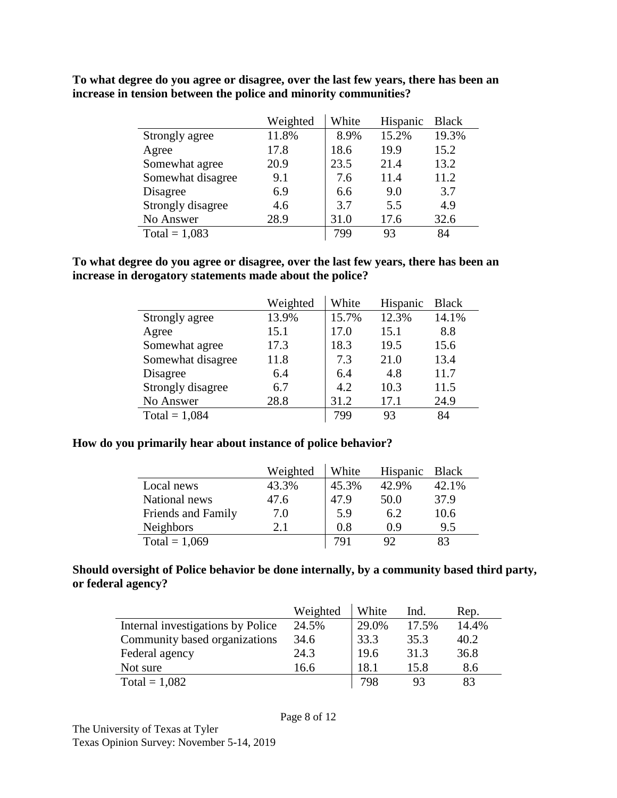|                   | Weighted | White | Hispanic | <b>Black</b> |
|-------------------|----------|-------|----------|--------------|
| Strongly agree    | 11.8%    | 8.9%  | 15.2%    | 19.3%        |
| Agree             | 17.8     | 18.6  | 19.9     | 15.2         |
| Somewhat agree    | 20.9     | 23.5  | 21.4     | 13.2         |
| Somewhat disagree | 9.1      | 7.6   | 11.4     | 11.2         |
| Disagree          | 6.9      | 6.6   | 9.0      | 3.7          |
| Strongly disagree | 4.6      | 3.7   | 5.5      | 4.9          |
| No Answer         | 28.9     | 31.0  | 17.6     | 32.6         |
| Total = $1,083$   |          | 799   | 93       | 84           |

**To what degree do you agree or disagree, over the last few years, there has been an increase in tension between the police and minority communities?**

**To what degree do you agree or disagree, over the last few years, there has been an increase in derogatory statements made about the police?**

|                   | Weighted | White | Hispanic | <b>Black</b> |
|-------------------|----------|-------|----------|--------------|
| Strongly agree    | 13.9%    | 15.7% | 12.3%    | 14.1%        |
| Agree             | 15.1     | 17.0  | 15.1     | 8.8          |
| Somewhat agree    | 17.3     | 18.3  | 19.5     | 15.6         |
| Somewhat disagree | 11.8     | 7.3   | 21.0     | 13.4         |
| Disagree          | 6.4      | 6.4   | 4.8      | 11.7         |
| Strongly disagree | 6.7      | 4.2   | 10.3     | 11.5         |
| No Answer         | 28.8     | 31.2  | 17.1     | 24.9         |
| Total = $1,084$   |          | 799   | 93       | 84           |

#### **How do you primarily hear about instance of police behavior?**

|                    | Weighted | White | Hispanic | <b>Black</b> |
|--------------------|----------|-------|----------|--------------|
| Local news         | 43.3%    | 45.3% | 42.9%    | 42.1%        |
| National news      | 47.6     | 47.9  | 50.0     | 37.9         |
| Friends and Family | 7.0      | 5.9   | 6.2      | 10.6         |
| <b>Neighbors</b>   | 2.1      | 0.8   | 0.9      | 9.5          |
| Total = $1,069$    |          | 791   | 92       | 83           |

### **Should oversight of Police behavior be done internally, by a community based third party, or federal agency?**

|                                   | Weighted | White | Ind.  | Rep.  |
|-----------------------------------|----------|-------|-------|-------|
| Internal investigations by Police | 24.5%    | 29.0% | 17.5% | 14.4% |
| Community based organizations     | 34.6     | 33.3  | 35.3  | 40.2  |
| Federal agency                    | 24.3     | 19.6  | 31.3  | 36.8  |
| Not sure                          | 16.6     | 18.1  | 15.8  | 8.6   |
| Total = $1,082$                   |          | 798   | 93    | 83    |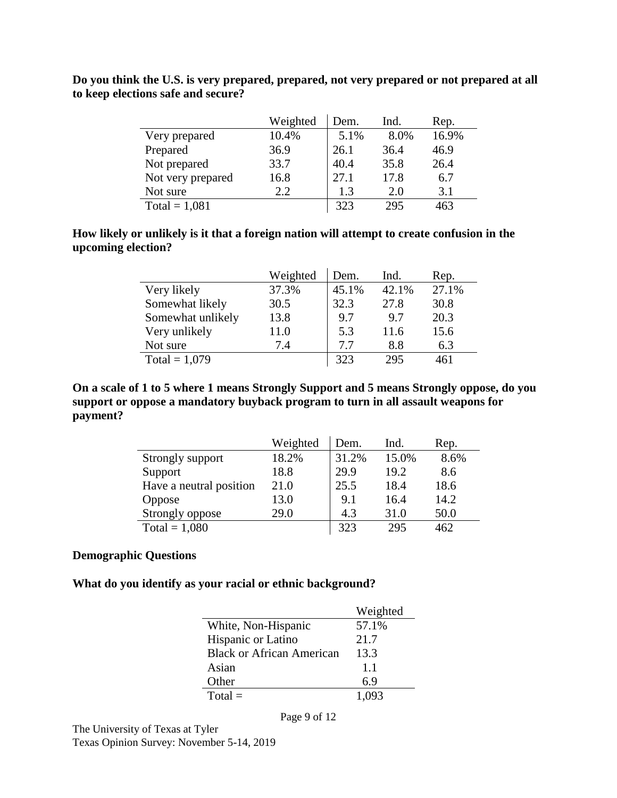|                   | Weighted | Dem. | Ind. | Rep.  |
|-------------------|----------|------|------|-------|
| Very prepared     | 10.4%    | 5.1% | 8.0% | 16.9% |
| Prepared          | 36.9     | 26.1 | 36.4 | 46.9  |
| Not prepared      | 33.7     | 40.4 | 35.8 | 26.4  |
| Not very prepared | 16.8     | 27.1 | 17.8 | 6.7   |
| Not sure          | 2.2.     | 1.3  | 2.0  | 3.1   |
| Total = $1,081$   |          | 323  | 295  | 463   |

**Do you think the U.S. is very prepared, prepared, not very prepared or not prepared at all to keep elections safe and secure?**

#### **How likely or unlikely is it that a foreign nation will attempt to create confusion in the upcoming election?**

|                   | Weighted | Dem.  | Ind.  | Rep.  |
|-------------------|----------|-------|-------|-------|
| Very likely       | 37.3%    | 45.1% | 42.1% | 27.1% |
| Somewhat likely   | 30.5     | 32.3  | 27.8  | 30.8  |
| Somewhat unlikely | 13.8     | 9.7   | 9.7   | 20.3  |
| Very unlikely     | 11.0     | 5.3   | 11.6  | 15.6  |
| Not sure          | 7.4      | 7.7   | 8.8   | 6.3   |
| Total = $1,079$   |          | 323   | 295   | 461   |

**On a scale of 1 to 5 where 1 means Strongly Support and 5 means Strongly oppose, do you support or oppose a mandatory buyback program to turn in all assault weapons for payment?**

|                         | Weighted | Dem.  | Ind.  | Rep. |
|-------------------------|----------|-------|-------|------|
| Strongly support        | 18.2%    | 31.2% | 15.0% | 8.6% |
| Support                 | 18.8     | 29.9  | 19.2  | 8.6  |
| Have a neutral position | 21.0     | 25.5  | 18.4  | 18.6 |
| Oppose                  | 13.0     | 9.1   | 16.4  | 14.2 |
| Strongly oppose         | 29.0     | 4.3   | 31.0  | 50.0 |
| Total = $1,080$         |          | 323   | 295   | 462  |

### **Demographic Questions**

**What do you identify as your racial or ethnic background?** 

|                                  | Weighted |
|----------------------------------|----------|
| White, Non-Hispanic              | 57.1%    |
| Hispanic or Latino               | 21.7     |
| <b>Black or African American</b> | 13.3     |
| Asian                            | 1.1      |
| Other                            | 6.9      |
| $Total =$                        | 1.093    |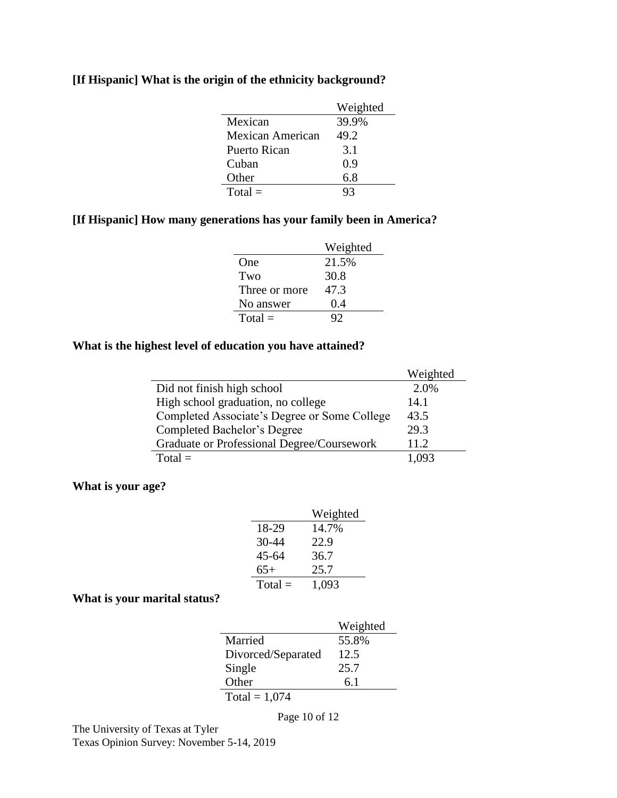| [If Hispanic] What is the origin of the ethnicity background? |  |  |  |  |  |  |  |  |  |  |  |  |
|---------------------------------------------------------------|--|--|--|--|--|--|--|--|--|--|--|--|
|---------------------------------------------------------------|--|--|--|--|--|--|--|--|--|--|--|--|

|                  | Weighted |
|------------------|----------|
| Mexican          | 39.9%    |
| Mexican American | 49.2     |
| Puerto Rican     | 3.1      |
| Cuban            | 0.9      |
| Other            | 6.8      |
| $Total =$        | 93       |

## **[If Hispanic] How many generations has your family been in America?**

|               | Weighted |
|---------------|----------|
| One           | 21.5%    |
| Two           | 30.8     |
| Three or more | 47.3     |
| No answer     | 0.4      |
| $Total =$     |          |

## **What is the highest level of education you have attained?**

|                                              | Weighted |
|----------------------------------------------|----------|
| Did not finish high school                   | 2.0%     |
| High school graduation, no college           | 14.1     |
| Completed Associate's Degree or Some College | 43.5     |
| Completed Bachelor's Degree                  | 29.3     |
| Graduate or Professional Degree/Coursework   | 11.2.    |
| $Total =$                                    | 1.093    |

#### **What is your age?**

|           | Weighted |
|-----------|----------|
| 18-29     | 14.7%    |
| $30 - 44$ | 22.9     |
| $45 - 64$ | 36.7     |
| $65+$     | 25.7     |
| $Total =$ | 1,093    |

#### **What is your marital status?**

|                    | Weighted |
|--------------------|----------|
| Married            | 55.8%    |
| Divorced/Separated | 12.5     |
| Single             | 25.7     |
| Other              | 6.1      |
| Total = $1,074$    |          |

Page 10 of 12

The University of Texas at Tyler Texas Opinion Survey: November 5-14, 2019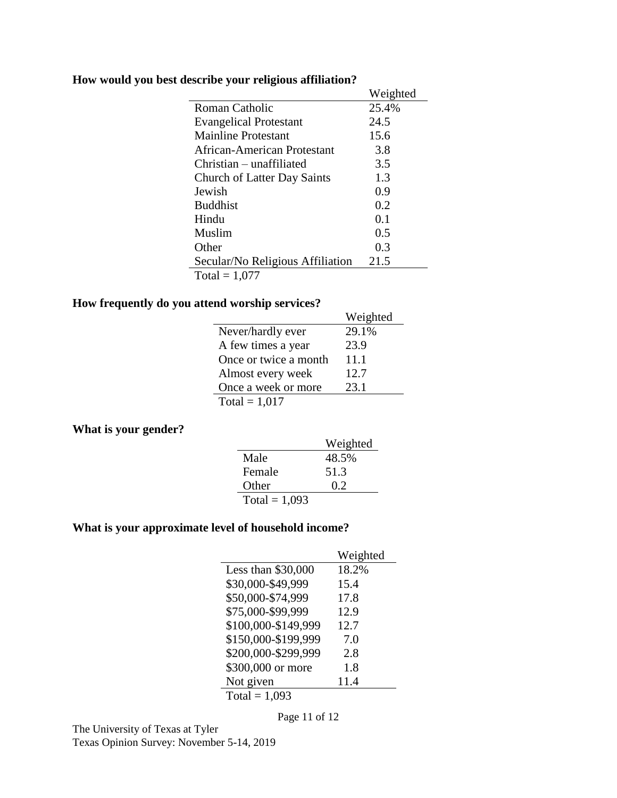|  |  |  | How would you best describe your religious affiliation? |  |
|--|--|--|---------------------------------------------------------|--|
|  |  |  |                                                         |  |

|                                    | Weighted |
|------------------------------------|----------|
| Roman Catholic                     | 25.4%    |
| <b>Evangelical Protestant</b>      | 24.5     |
| Mainline Protestant                | 15.6     |
| African-American Protestant        | 3.8      |
| Christian – unaffiliated           | 3.5      |
| <b>Church of Latter Day Saints</b> | 1.3      |
| Jewish                             | 0.9      |
| <b>Buddhist</b>                    | 0.2      |
| Hindu                              | 0.1      |
| Muslim                             | 0.5      |
| Other                              | 0.3      |
| Secular/No Religious Affiliation   | 21.5     |
| Total = $1,077$                    |          |

## **How frequently do you attend worship services?**

| na worsnip services <i>:</i> |          |
|------------------------------|----------|
|                              | Weighted |
| Never/hardly ever            | 29.1%    |
| A few times a year           | 23.9     |
| Once or twice a month        | 11.1     |
| Almost every week            | 12.7     |
| Once a week or more          | 23.1     |
| Total = $1,017$              |          |

#### **What is your gender?**

|                 | Weighted |
|-----------------|----------|
| Male            | 48.5%    |
| Female          | 51.3     |
| Other           | 0.2      |
| Total = $1,093$ |          |

### **What is your approximate level of household income?**

|                     | Weighted |
|---------------------|----------|
| Less than \$30,000  | 18.2%    |
| \$30,000-\$49,999   | 15.4     |
| \$50,000-\$74,999   | 17.8     |
| \$75,000-\$99,999   | 12.9     |
| \$100,000-\$149,999 | 12.7     |
| \$150,000-\$199,999 | 7.0      |
| \$200,000-\$299,999 | 2.8      |
| \$300,000 or more   | 1.8      |
| Not given           | 11.4     |
| Total = $1,093$     |          |